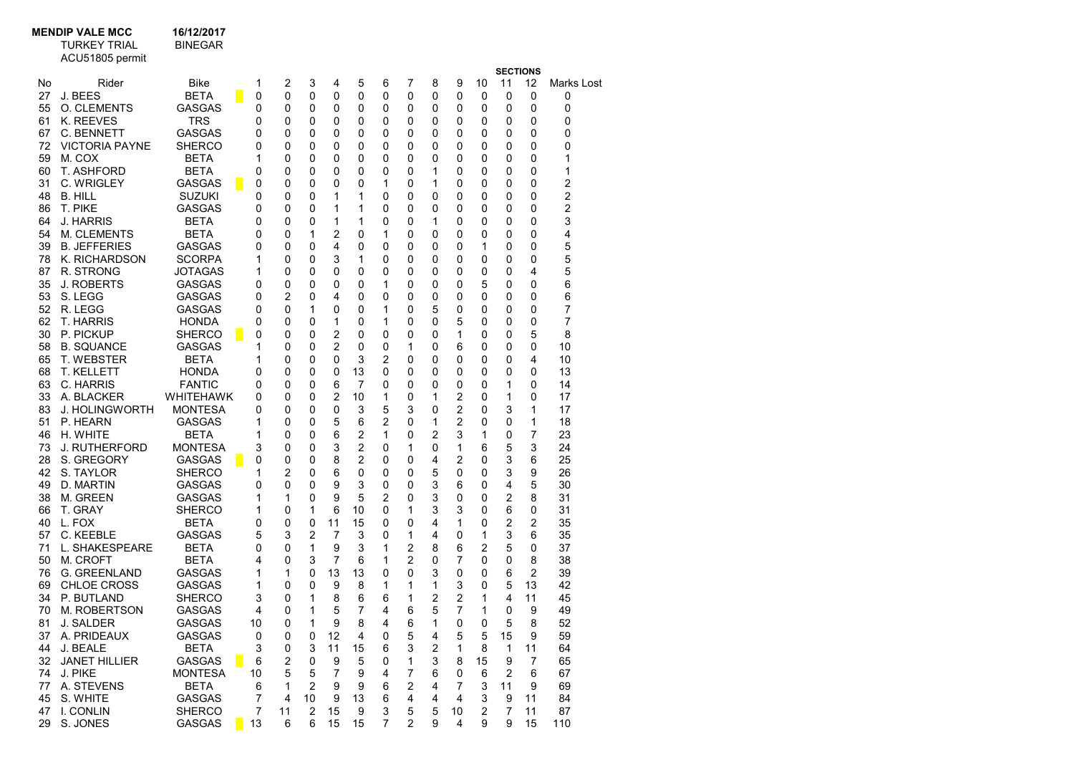## MENDIP VALE MCC 16/12/2017<br>TURKEY TRIAL BINEGAR

TURKEY TRIAL BINEGAR

|          | ACU51805 permit                  |                             |   |                |        |                |        |                |                |        |                |        |         |                       |          |                 |
|----------|----------------------------------|-----------------------------|---|----------------|--------|----------------|--------|----------------|----------------|--------|----------------|--------|---------|-----------------------|----------|-----------------|
| No       | Rider                            | Bike                        |   |                | 2      | 3              |        | 5              | 6              | 7      | 8              | 9      |         | <b>SECTIONS</b><br>11 | 12       |                 |
| 27       | J. BEES                          | <b>BETA</b>                 |   | 1<br>0         | 0      | 0              | 4<br>0 | 0              | 0              | 0      | 0              | 0      | 10<br>0 | 0                     | 0        | Marks Lost<br>0 |
| 55       | <b>O. CLEMENTS</b>               | <b>GASGAS</b>               |   | 0              | 0      | 0              | 0      | 0              | 0              | 0      | 0              | 0      | 0       | 0                     | 0        | 0               |
| 61       | K. REEVES                        | <b>TRS</b>                  |   | 0              | 0      | 0              | 0      | 0              | 0              | 0      | 0              | 0      | 0       | 0                     | 0        | 0               |
| 67       | C. BENNETT                       | GASGAS                      |   | 0              | 0      | 0              | 0      | 0              | 0              | 0      | 0              | 0      | 0       | 0                     | 0        | 0               |
| 72       | <b>VICTORIA PAYNE</b>            | <b>SHERCO</b>               |   | 0              | 0      | 0              | 0      | 0              | 0              | 0      | 0              | 0      | 0       | 0                     | 0        | 0               |
| 59       | M. COX                           | <b>BETA</b>                 |   | 1              | 0      | 0              | 0      | 0              | 0              | 0      | 0              | 0      | 0       | 0                     | 0        | 1               |
| 60       | T. ASHFORD                       | <b>BETA</b>                 |   | 0              | 0      | 0              | 0      | 0              | 0              | 0      | 1              | 0      | 0       | 0                     | 0        | 1               |
| 31       | C. WRIGLEY                       | <b>GASGAS</b>               | п | 0              | 0      | 0              | 0      | 0              | 1              | 0      | 1              | 0      | 0       | 0                     | 0        | 2               |
| 48       | <b>B. HILL</b>                   | <b>SUZUKI</b>               |   | 0              | 0      | 0              | 1      | 1              | 0              | 0      | 0              | 0      | 0       | 0                     | 0        | 2               |
| 86       | T. PIKE                          | <b>GASGAS</b>               |   | 0              | 0      | 0              | 1      | 1              | 0              | 0      | 0              | 0      | 0       | 0                     | 0        | 2               |
| 64       | J. HARRIS                        | <b>BETA</b>                 |   | 0              | 0      | 0              | 1      | 1              | 0              | 0      | 1              | 0      | 0       | 0                     | 0        | 3               |
| 54       | <b>M. CLEMENTS</b>               | <b>BETA</b>                 |   | 0              | 0      | 1              | 2      | 0              | 1              | 0      | 0              | 0      | 0       | 0                     | 0        | 4               |
| 39       | <b>B. JEFFERIES</b>              | GASGAS                      |   | 0              | 0      | 0              | 4      | 0              | 0              | 0      | 0              | 0      | 1       | 0                     | 0        | 5               |
| 78       | K. RICHARDSON                    | <b>SCORPA</b>               |   | 1              | 0      | 0              | 3      | 1              | 0              | 0      | 0              | 0      | 0       | 0                     | 0        | 5               |
| 87       | R. STRONG                        | JOTAGAS                     |   | 1              | 0      | 0              | 0      | 0              | 0              | 0      | 0              | 0      | 0       | 0                     | 4        | 5               |
| 35       | J. ROBERTS                       | <b>GASGAS</b>               |   | 0              | 0      | 0              | 0      | 0              | 1              | 0      | 0              | 0      | 5       | 0                     | 0        | 6               |
| 53       | S. LEGG                          | GASGAS                      |   | 0              | 2      | 0              | 4      | 0              | 0              | 0      | 0              | 0      | 0       | 0                     | 0        | 6               |
| 52       | R. LEGG                          | <b>GASGAS</b>               |   | 0              | 0      | 1              | 0      | 0              | 1              | 0      | 5              | 0      | 0       | 0                     | 0        | 7               |
| 62       | T. HARRIS                        | <b>HONDA</b>                |   | 0              | 0      | 0              | 1      | 0              | 1              | 0      | 0              | 5      | 0       | 0                     | 0        | 7               |
| 30       | P. PICKUP                        | <b>SHERCO</b>               | П | 0              | 0      | 0              | 2      | 0              | 0              | 0      | 0              | 1      | 0       | 0                     | 5        | 8               |
| 58       | <b>B. SQUANCE</b>                | <b>GASGAS</b>               |   | 1              | 0      | 0              | 2      | 0              | 0              | 1      | 0              | 6      | 0       | 0                     | 0        | 10              |
| 65       | T. WEBSTER<br>T. KELLETT         | <b>BETA</b><br><b>HONDA</b> |   | 1<br>0         | 0<br>0 | 0<br>0         | 0<br>0 | 3              | 2<br>0         | 0      | 0              | 0      | 0       | 0                     | 4<br>0   | 10<br>13        |
| 68<br>63 | C. HARRIS                        | <b>FANTIC</b>               |   | 0              | 0      | 0              | 6      | 13<br>7        | 0              | 0<br>0 | 0<br>0         | 0<br>0 | 0<br>0  | 0<br>1                | 0        | 14              |
| 33       | A. BLACKER                       | <b>WHITEHAWK</b>            |   | 0              | 0      | 0              | 2      | 10             | 1              | 0      | 1              | 2      | 0       | 1                     | 0        | 17              |
| 83       | J. HOLINGWORTH                   | MONTESA                     |   | 0              | 0      | 0              | 0      | 3              | 5              | 3      | 0              | 2      | 0       | 3                     | 1        | 17              |
| 51       | P. HEARN                         | GASGAS                      |   | 1              | 0      | 0              | 5      | 6              | $\overline{2}$ | 0      | 1              | 2      | 0       | 0                     | 1        | 18              |
| 46       | H. WHITE                         | <b>BETA</b>                 |   | 1              | 0      | 0              | 6      | $\overline{2}$ | 1              | 0      | 2              | 3      | 1       | 0                     | 7        | 23              |
| 73       | J. RUTHERFORD                    | MONTESA                     |   | 3              | 0      | 0              | 3      | $\overline{2}$ | 0              | 1      | 0              | 1      | 6       | 5                     | 3        | 24              |
| 28       | S. GREGORY                       | <b>GASGAS</b>               |   | 0              | 0      | 0              | 8      | 2              | 0              | 0      | 4              | 2      | 0       | 3                     | 6        | 25              |
| 42       | S. TAYLOR                        | <b>SHERCO</b>               |   | 1              | 2      | 0              | 6      | 0              | 0              | 0      | 5              | 0      | 0       | 3                     | 9        | 26              |
| 49       | D. MARTIN                        | GASGAS                      |   | 0              | 0      | 0              | 9      | 3              | 0              | 0      | 3              | 6      | 0       | 4                     | 5        | 30              |
| 38       | M. GREEN                         | GASGAS                      |   | 1              | 1      | 0              | 9      | 5              | 2              | 0      | 3              | 0      | 0       | 2                     | 8        | 31              |
| 66       | T. GRAY                          | SHERCO                      |   | 1              | 0      | 1              | 6      | 10             | 0              | 1      | 3              | 3      | 0       | 6                     | 0        | 31              |
| 40       | L. FOX                           | <b>BETA</b>                 |   | 0              | 0      | 0              | 11     | 15             | 0              | 0      | 4              | 1      | 0       | 2                     | 2        | 35              |
| 57       | C. KEEBLE                        | GASGAS                      |   | 5              | 3      | 2              | 7      | 3              | 0              | 1      | 4              | 0      | 1       | 3                     | 6        | 35              |
| 71       | L. SHAKESPEARE                   | <b>BETA</b>                 |   | 0              | 0      | 1              | 9      | 3              | 1              | 2      | 8              | 6      | 2       | 5                     | 0        | 37              |
| 50       | M. CROFT                         | <b>BETA</b>                 |   | 4              | 0      | 3              | 7      | 6              | 1              | 2      | 0              | 7      | 0       | 0                     | 8        | 38              |
| 76       | <b>G. GREENLAND</b>              | GASGAS                      |   | 1              | 1      | 0              | 13     | 13             | 0              | 0      | 3              | 0      | 0       | 6                     | 2        | 39              |
| 69<br>34 | <b>CHLOE CROSS</b><br>P. BUTLAND | GASGAS<br><b>SHERCO</b>     |   | 1<br>3         | 0<br>0 | 0<br>1         | 9<br>8 | 8<br>6         | 1<br>6         | 1<br>1 | 1<br>2         | 3<br>2 | 0<br>1  | 5<br>4                | 13<br>11 | 42<br>45        |
| 70       | M. ROBERTSON                     | <b>GASGAS</b>               |   | 4              | 0      | 1              | 5      | 7              | 4              | 6      | 5              | 7      | 1       | 0                     | 9        | 49              |
| 81       | J. SALDER                        | GASGAS                      |   | 10             | 0      | 1              | 9      | 8              | 4              | 6      | 1              | 0      | 0       | 5                     | 8        | 52              |
| 37       | A. PRIDEAUX                      | <b>GASGAS</b>               |   | 0              | 0      | 0              | 12     | 4              | 0              | 5      | 4              | 5      | 5       | 15                    | 9        | 59              |
| 44       | J. BEALE                         | <b>BETA</b>                 |   | 3              | 0      | 3              | 11     | 15             | 6              | 3      | $\overline{2}$ | 1      | 8       | $\mathbf{1}$          | 11       | 64              |
| 32       | <b>JANET HILLIER</b>             | <b>GASGAS</b>               |   | 6              | 2      | 0              | 9      | 5              | 0              | 1      | 3              | 8      | 15      | 9                     | 7        | 65              |
| 74       | J. PIKE                          | <b>MONTESA</b>              |   | 10             | 5      | 5              | 7      | 9              | 4              | 7      | 6              | 0      | 6       | $\overline{2}$        | 6        | 67              |
| 77       | A. STEVENS                       | <b>BETA</b>                 |   | 6              | 1      | $\overline{2}$ | 9      | 9              | 6              | 2      | 4              | 7      | 3       | 11                    | 9        | 69              |
| 45       | S. WHITE                         | GASGAS                      |   | 7              | 4      | 10             | 9      | 13             | 6              | 4      | 4              | 4      | 3       | 9                     | 11       | 84              |
| 47       | I. CONLIN                        | <b>SHERCO</b>               |   | $\overline{7}$ | 11     | $\overline{2}$ | 15     | 9              | 3              | 5      | 5              | 10     | 2       | $\overline{7}$        | 11       | 87              |
| 29       | S. JONES                         | GASGAS                      |   | 13             | 6      | 6              | 15     | 15             | $\overline{7}$ | 2      | 9              | 4      | 9       | 9                     | 15       | 110             |